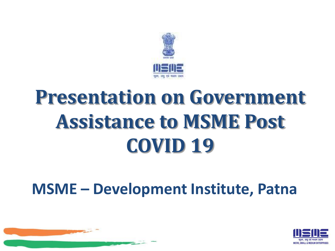

# **Presentation on Government Assistance to MSME Post COVID 19**

#### **MSME – Development Institute, Patna**

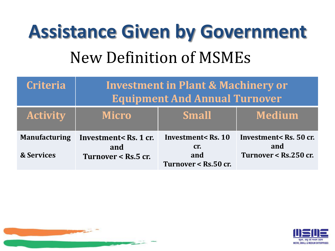# **Assistance Given by Government** New Definition of MSMEs

| <b>Criteria</b>                               | <b>Investment in Plant &amp; Machinery or</b><br><b>Equipment And Annual Turnover</b> |                                                          |                                                                                     |
|-----------------------------------------------|---------------------------------------------------------------------------------------|----------------------------------------------------------|-------------------------------------------------------------------------------------|
| <b>Activity</b>                               | <b>Micro</b>                                                                          | <b>Small</b>                                             | <b>Medium</b>                                                                       |
| <b>Manufacturing</b><br><b>&amp; Services</b> | Investment <rs.1 cr.<br="">and<br/>Turnover <math>\le</math> Rs.5 cr.</rs.1>          | Investment< Rs. 10<br>Cr.<br>and<br>Turnover < Rs.50 cr. | Investment <rs. 50="" cr.<br="">and<br/>Turnover <math>&lt;</math> Rs.250 cr.</rs.> |



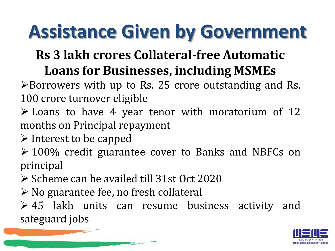#### **Rs 3 lakh crores Collateral-free Automatic Loans for Businesses, including MSMEs**

 $\triangleright$  Borrowers with up to Rs. 25 crore outstanding and Rs. 100 crore turnover eligible

- $\triangleright$  Loans to have 4 year tenor with moratorium of 12 months on Principal repayment
- $\triangleright$  Interest to be capped
- 100% credit guarantee cover to Banks and NBFCs on principal
- $\triangleright$  Scheme can be availed till 31st Oct 2020
- $\triangleright$  No guarantee fee, no fresh collateral

 $\geq 45$  lakh units can resume business activity and safeguard jobs

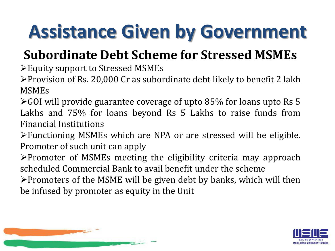#### **Subordinate Debt Scheme for Stressed MSMEs**

Equity support to Stressed MSMEs

Provision of Rs. 20,000 Cr as subordinate debt likely to benefit 2 lakh MSMEs

GOI will provide guarantee coverage of upto 85% for loans upto Rs 5 Lakhs and 75% for loans beyond Rs 5 Lakhs to raise funds from Financial Institutions

Functioning MSMEs which are NPA or are stressed will be eligible. Promoter of such unit can apply

 $\triangleright$  Promoter of MSMEs meeting the eligibility criteria may approach scheduled Commercial Bank to avail benefit under the scheme

 $\triangleright$  Promoters of the MSME will be given debt by banks, which will then be infused by promoter as equity in the Unit



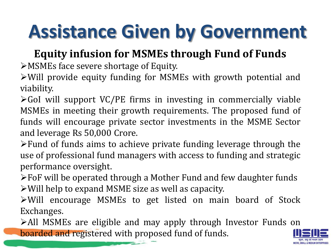#### **Equity infusion for MSMEs through Fund of Funds**

MSMEs face severe shortage of Equity.

Will provide equity funding for MSMEs with growth potential and viability.

 $\triangleright$  GoI will support VC/PE firms in investing in commercially viable MSMEs in meeting their growth requirements. The proposed fund of funds will encourage private sector investments in the MSME Sector and leverage Rs 50,000 Crore.

- Fund of funds aims to achieve private funding leverage through the use of professional fund managers with access to funding and strategic performance oversight.
- FoF will be operated through a Mother Fund and few daughter funds Will help to expand MSME size as well as capacity.
- Will encourage MSMEs to get listed on main board of Stock Exchanges.

All MSMEs are eligible and may apply through Investor Funds on boarded and registered with proposed fund of funds.

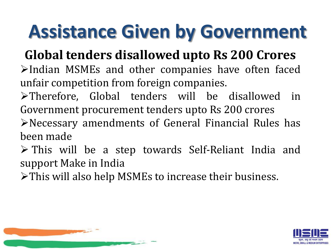#### **Global tenders disallowed upto Rs 200 Crores**

- $\blacktriangleright$ Indian MSMEs and other companies have often faced unfair competition from foreign companies.
- Therefore, Global tenders will be disallowed in Government procurement tenders upto Rs 200 crores
- Necessary amendments of General Financial Rules has been made
- This will be a step towards Self-Reliant India and support Make in India
- This will also help MSMEs to increase their business.



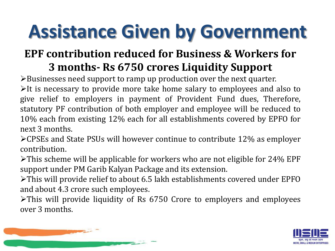#### **EPF contribution reduced for Business & Workers for 3 months- Rs 6750 crores Liquidity Support**

Businesses need support to ramp up production over the next quarter.

 $\blacktriangleright$ It is necessary to provide more take home salary to employees and also to give relief to employers in payment of Provident Fund dues, Therefore, statutory PF contribution of both employer and employee will be reduced to 10% each from existing 12% each for all establishments covered by EPFO for next 3 months.

CPSEs and State PSUs will however continue to contribute 12% as employer contribution.

 $\triangleright$ This scheme will be applicable for workers who are not eligible for 24% EPF support under PM Garib Kalyan Package and its extension.

This will provide relief to about 6.5 lakh establishments covered under EPFO and about 4.3 crore such employees.

This will provide liquidity of Rs 6750 Crore to employers and employees over 3 months.



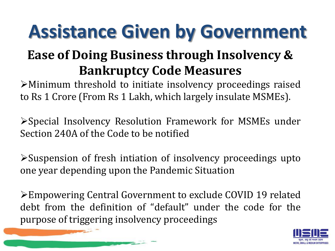#### **Ease of Doing Business through Insolvency & Bankruptcy Code Measures**

Minimum threshold to initiate insolvency proceedings raised to Rs 1 Crore (From Rs 1 Lakh, which largely insulate MSMEs).

Special Insolvency Resolution Framework for MSMEs under Section 240A of the Code to be notified

Suspension of fresh intiation of insolvency proceedings upto one year depending upon the Pandemic Situation

Empowering Central Government to exclude COVID 19 related debt from the definition of "default" under the code for the purpose of triggering insolvency proceedings

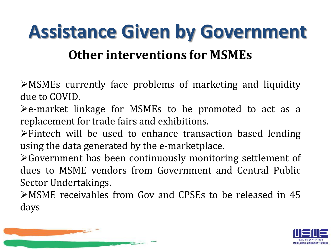#### **Assistance Given by Government Other interventions for MSMEs**

MSMEs currently face problems of marketing and liquidity due to COVID.

 $\blacktriangleright$  e-market linkage for MSMEs to be promoted to act as a replacement for trade fairs and exhibitions.

Fintech will be used to enhance transaction based lending using the data generated by the e-marketplace.

Government has been continuously monitoring settlement of dues to MSME vendors from Government and Central Public Sector Undertakings.

MSME receivables from Gov and CPSEs to be released in 45 days



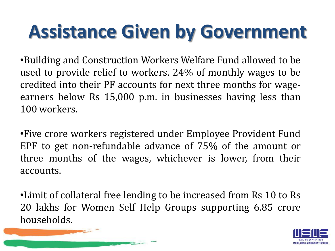•Building and Construction Workers Welfare Fund allowed to be used to provide relief to workers. 24% of monthly wages to be credited into their PF accounts for next three months for wageearners below Rs 15,000 p.m. in businesses having less than 100 workers.

•Five crore workers registered under Employee Provident Fund EPF to get non-refundable advance of 75% of the amount or three months of the wages, whichever is lower, from their accounts.

•Limit of collateral free lending to be increased from Rs 10 to Rs 20 lakhs for Women Self Help Groups supporting 6.85 crore households.

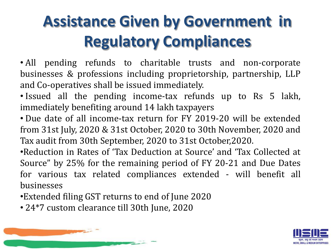#### **Assistance Given by Government in Regulatory Compliances**

• All pending refunds to charitable trusts and non-corporate businesses & professions including proprietorship, partnership, LLP and Co-operatives shall be issued immediately.

• Issued all the pending income-tax refunds up to Rs 5 lakh, immediately benefiting around 14 lakh taxpayers

• Due date of all income-tax return for FY 2019-20 will be extended from 31st July, 2020 & 31st October, 2020 to 30th November, 2020 and Tax audit from 30th September, 2020 to 31st October,2020.

•Reduction in Rates of 'Tax Deduction at Source' and 'Tax Collected at Source" by 25% for the remaining period of FY 20-21 and Due Dates for various tax related compliances extended - will benefit all businesses

- •Extended filing GST returns to end of June 2020
- 24\*7 custom clearance till 30th June, 2020

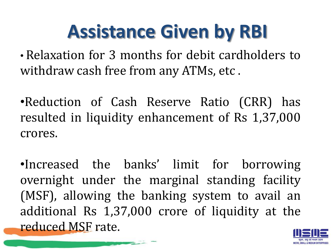### **Assistance Given by RBI**

• Relaxation for 3 months for debit cardholders to withdraw cash free from any ATMs, etc .

•Reduction of Cash Reserve Ratio (CRR) has resulted in liquidity enhancement of Rs 1,37,000 crores.

•Increased the banks' limit for borrowing overnight under the marginal standing facility (MSF), allowing the banking system to avail an additional Rs 1,37,000 crore of liquidity at the reduced MSF rate.

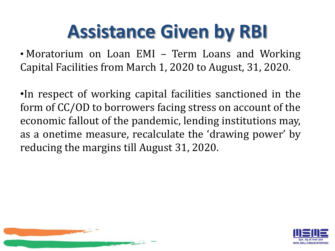## **Assistance Given by RBI**

• Moratorium on Loan EMI – Term Loans and Working Capital Facilities from March 1, 2020 to August, 31, 2020.

•In respect of working capital facilities sanctioned in the form of CC/OD to borrowers facing stress on account of the economic fallout of the pandemic, lending institutions may, as a onetime measure, recalculate the 'drawing power' by reducing the margins till August 31, 2020.